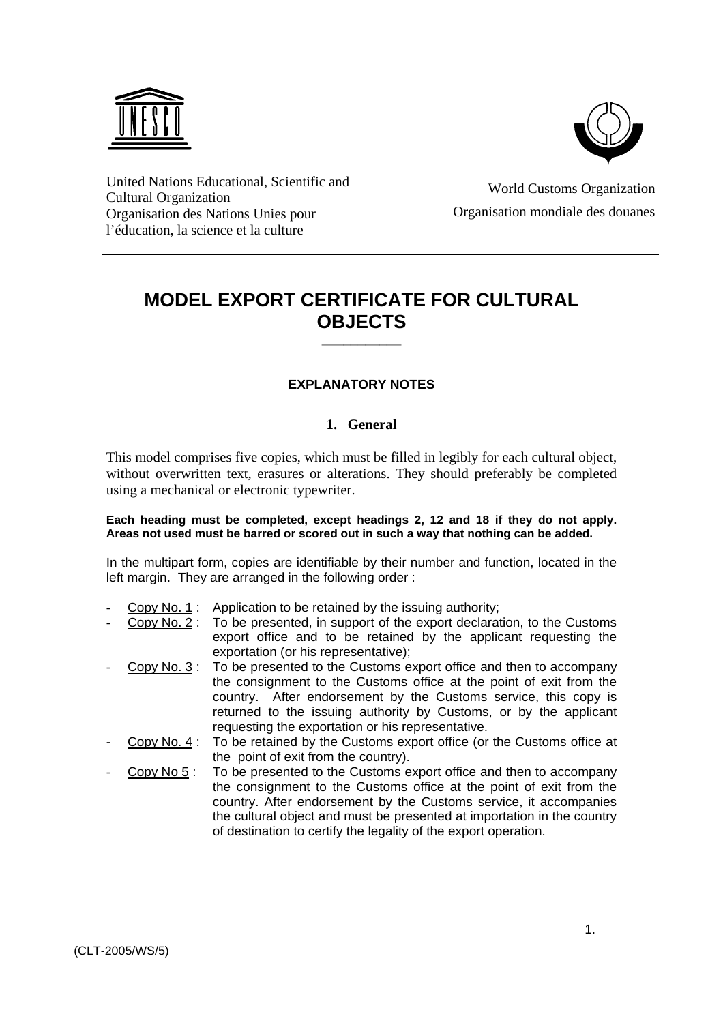



United Nations Educational, Scientific and Cultural Organization Organisation des Nations Unies pour l'éducation, la science et la culture

World Customs Organization Organisation mondiale des douanes

# **MODEL EXPORT CERTIFICATE FOR CULTURAL OBJECTS**

**\_\_\_\_\_\_\_\_\_\_\_**

#### **EXPLANATORY NOTES**

#### **1. General**

This model comprises five copies, which must be filled in legibly for each cultural object, without overwritten text, erasures or alterations. They should preferably be completed using a mechanical or electronic typewriter.

#### **Each heading must be completed, except headings 2, 12 and 18 if they do not apply. Areas not used must be barred or scored out in such a way that nothing can be added.**

In the multipart form, copies are identifiable by their number and function, located in the left margin. They are arranged in the following order :

- Copy No. 1 : Application to be retained by the issuing authority;
- Copy No. 2 : To be presented, in support of the export declaration, to the Customs export office and to be retained by the applicant requesting the exportation (or his representative);
- Copy No. 3 : To be presented to the Customs export office and then to accompany the consignment to the Customs office at the point of exit from the country. After endorsement by the Customs service, this copy is returned to the issuing authority by Customs, or by the applicant requesting the exportation or his representative.
- Copy No. 4 : To be retained by the Customs export office (or the Customs office at the point of exit from the country).
- Copy No 5 : To be presented to the Customs export office and then to accompany the consignment to the Customs office at the point of exit from the country. After endorsement by the Customs service, it accompanies the cultural object and must be presented at importation in the country of destination to certify the legality of the export operation.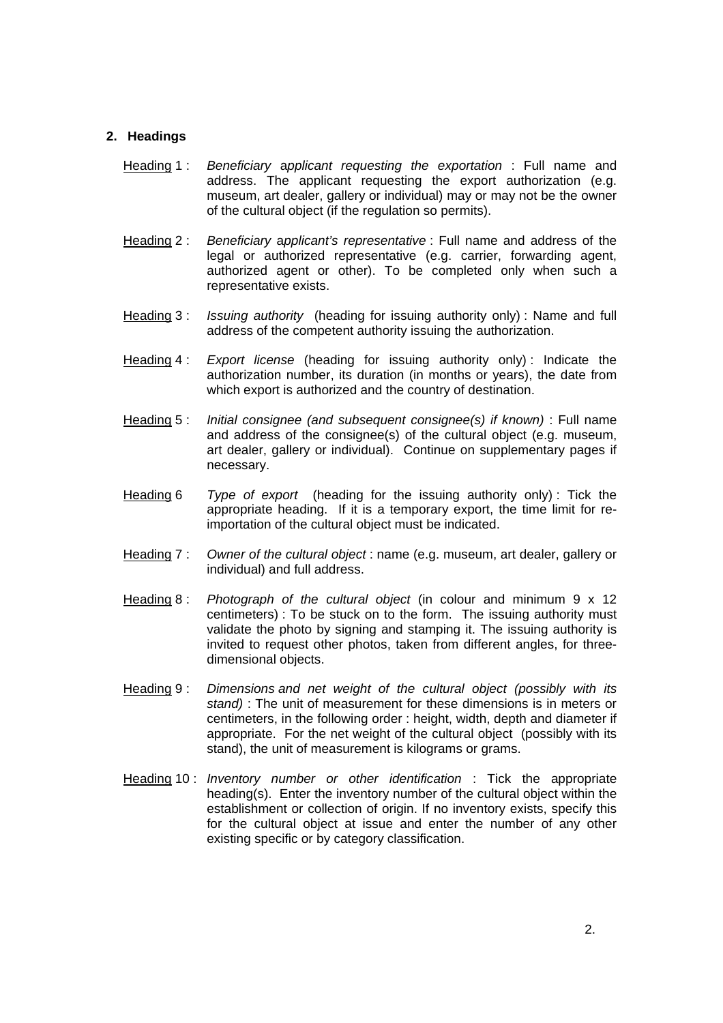#### **2. Headings**

- Heading 1 : Beneficiary applicant requesting the exportation : Full name and address. The applicant requesting the export authorization (e.g. museum, art dealer, gallery or individual) may or may not be the owner of the cultural object (if the regulation so permits).
- Heading 2 : Beneficiary applicant's representative : Full name and address of the legal or authorized representative (e.g. carrier, forwarding agent, authorized agent or other). To be completed only when such a representative exists.
- Heading 3 : *Issuing authority* (heading for issuing authority only) : Name and full address of the competent authority issuing the authorization.
- Heading 4 : Export license (heading for issuing authority only) : Indicate the authorization number, its duration (in months or years), the date from which export is authorized and the country of destination.
- Heading 5 : *Initial consignee (and subsequent consignee(s) if known)* : Full name and address of the consignee(s) of the cultural object (e.g. museum, art dealer, gallery or individual). Continue on supplementary pages if necessary.
- Heading 6 Type of export (heading for the issuing authority only): Tick the appropriate heading. If it is a temporary export, the time limit for reimportation of the cultural object must be indicated.
- Heading 7 : Owner of the cultural object : name (e.g. museum, art dealer, gallery or individual) and full address.
- Heading 8: Photograph of the cultural object (in colour and minimum  $9 \times 12$ centimeters) : To be stuck on to the form. The issuing authority must validate the photo by signing and stamping it. The issuing authority is invited to request other photos, taken from different angles, for threedimensional objects.
- Heading 9 : Dimensions and net weight of the cultural object (possibly with its stand) : The unit of measurement for these dimensions is in meters or centimeters, in the following order : height, width, depth and diameter if appropriate. For the net weight of the cultural object (possibly with its stand), the unit of measurement is kilograms or grams.
- Heading 10: *Inventory number or other identification* : Tick the appropriate heading(s). Enter the inventory number of the cultural object within the establishment or collection of origin. If no inventory exists, specify this for the cultural object at issue and enter the number of any other existing specific or by category classification.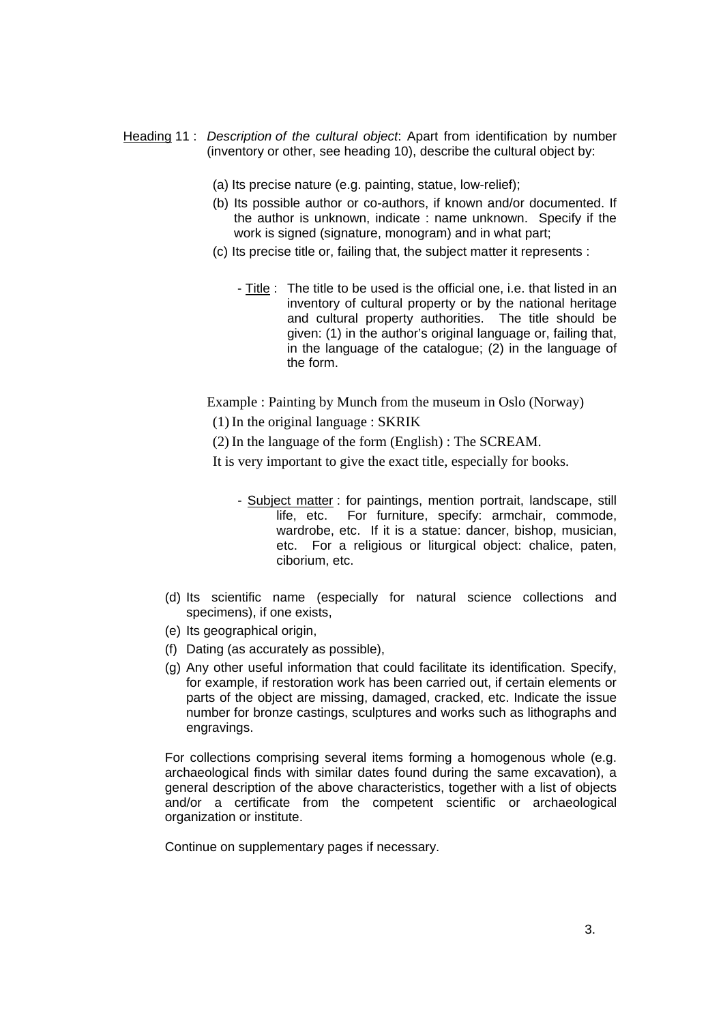- Heading 11 : Description of the cultural object. Apart from identification by number (inventory or other, see heading 10), describe the cultural object by:
	- (a) Its precise nature (e.g. painting, statue, low-relief);
	- (b) Its possible author or co-authors, if known and/or documented. If the author is unknown, indicate : name unknown. Specify if the work is signed (signature, monogram) and in what part;
	- (c) Its precise title or, failing that, the subject matter it represents :
		- Title : The title to be used is the official one, i.e. that listed in an inventory of cultural property or by the national heritage and cultural property authorities. The title should be given: (1) in the author's original language or, failing that, in the language of the catalogue; (2) in the language of the form.

Example : Painting by Munch from the museum in Oslo (Norway)

- (1) In the original language : SKRIK
- (2) In the language of the form (English) : The SCREAM.

It is very important to give the exact title, especially for books.

- Subject matter : for paintings, mention portrait, landscape, still life, etc. For furniture, specify: armchair, commode, wardrobe, etc. If it is a statue: dancer, bishop, musician, etc. For a religious or liturgical object: chalice, paten, ciborium, etc.
- (d) Its scientific name (especially for natural science collections and specimens), if one exists,
- (e) Its geographical origin,
- (f) Dating (as accurately as possible),
- (g) Any other useful information that could facilitate its identification. Specify, for example, if restoration work has been carried out, if certain elements or parts of the object are missing, damaged, cracked, etc. Indicate the issue number for bronze castings, sculptures and works such as lithographs and engravings.

For collections comprising several items forming a homogenous whole (e.g. archaeological finds with similar dates found during the same excavation), a general description of the above characteristics, together with a list of objects and/or a certificate from the competent scientific or archaeological organization or institute.

Continue on supplementary pages if necessary.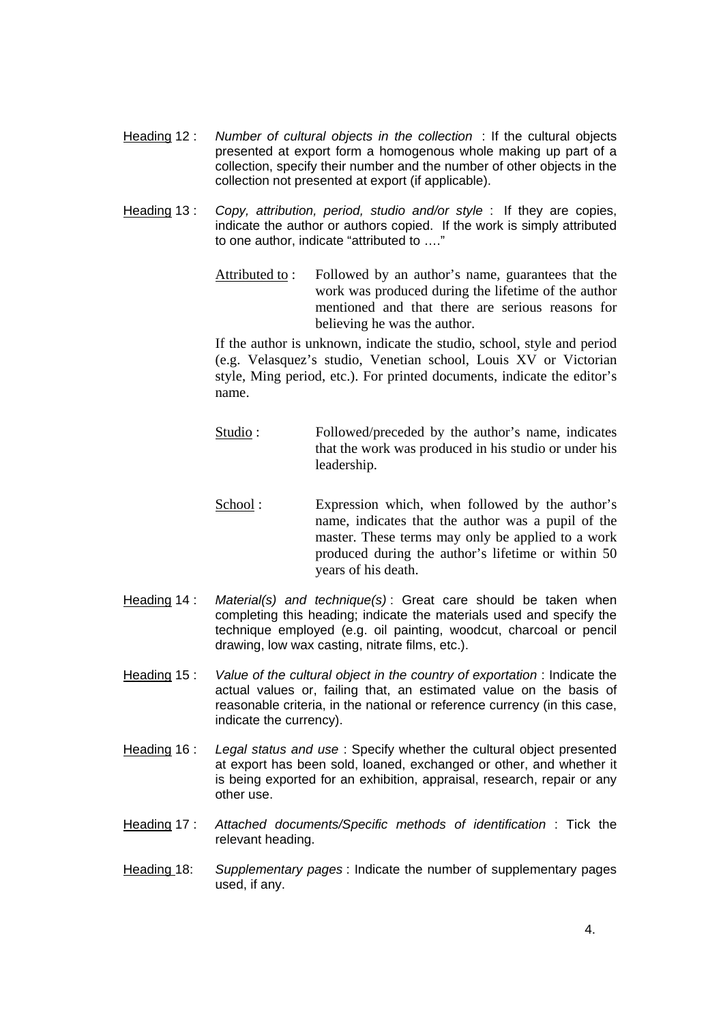- Heading 12 : Number of cultural objects in the collection : If the cultural objects presented at export form a homogenous whole making up part of a collection, specify their number and the number of other objects in the collection not presented at export (if applicable).
- Heading 13 : Copy, attribution, period, studio and/or style : If they are copies, indicate the author or authors copied. If the work is simply attributed to one author, indicate "attributed to …."
	- Attributed to : Followed by an author's name, guarantees that the work was produced during the lifetime of the author mentioned and that there are serious reasons for believing he was the author.

If the author is unknown, indicate the studio, school, style and period (e.g. Velasquez's studio, Venetian school, Louis XV or Victorian style, Ming period, etc.). For printed documents, indicate the editor's name.

- Studio : Followed/preceded by the author's name, indicates that the work was produced in his studio or under his leadership.
- School : Expression which, when followed by the author's name, indicates that the author was a pupil of the master. These terms may only be applied to a work produced during the author's lifetime or within 50 years of his death.
- Heading 14 : Material(s) and technique(s) : Great care should be taken when completing this heading; indicate the materials used and specify the technique employed (e.g. oil painting, woodcut, charcoal or pencil drawing, low wax casting, nitrate films, etc.).
- Heading 15 : Value of the cultural object in the country of exportation : Indicate the actual values or, failing that, an estimated value on the basis of reasonable criteria, in the national or reference currency (in this case, indicate the currency).
- Heading 16 : Legal status and use : Specify whether the cultural object presented at export has been sold, loaned, exchanged or other, and whether it is being exported for an exhibition, appraisal, research, repair or any other use.
- Heading 17 : Attached documents/Specific methods of identification : Tick the relevant heading.
- Heading 18: Supplementary pages : Indicate the number of supplementary pages used, if any.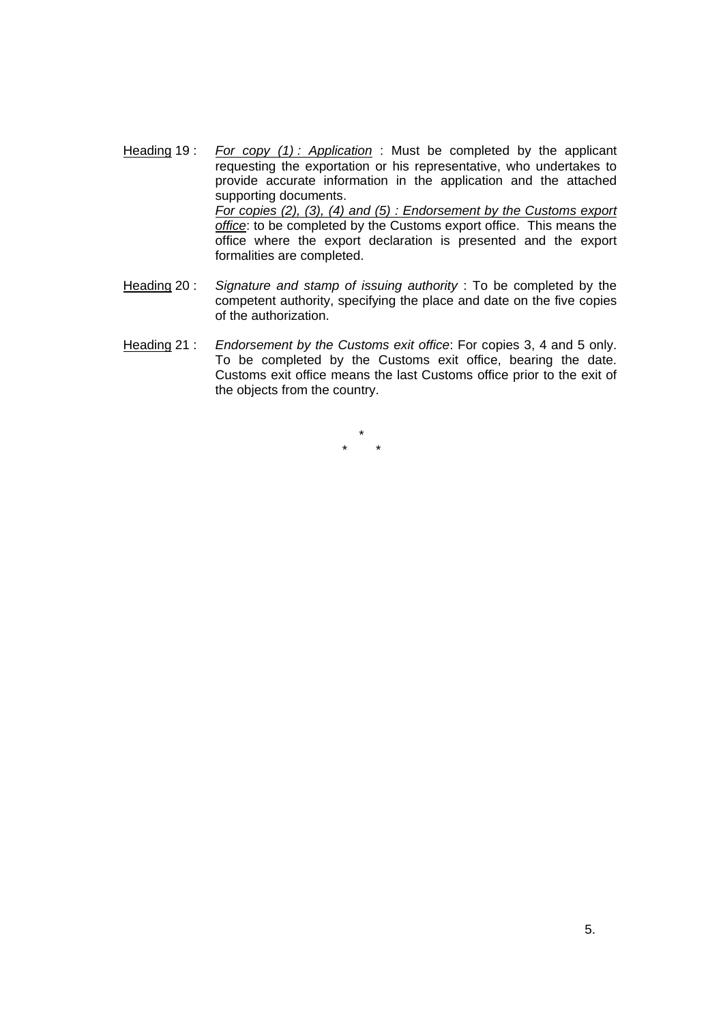- Heading 19 : For copy  $(1)$  : Application : Must be completed by the applicant requesting the exportation or his representative, who undertakes to provide accurate information in the application and the attached supporting documents. For copies (2), (3), (4) and (5) : Endorsement by the Customs export office: to be completed by the Customs export office. This means the office where the export declaration is presented and the export formalities are completed.
- Heading 20 : Signature and stamp of issuing authority : To be completed by the competent authority, specifying the place and date on the five copies of the authorization.
- Heading 21 : Endorsement by the Customs exit office: For copies 3, 4 and 5 only. To be completed by the Customs exit office, bearing the date. Customs exit office means the last Customs office prior to the exit of the objects from the country.

\* \* \*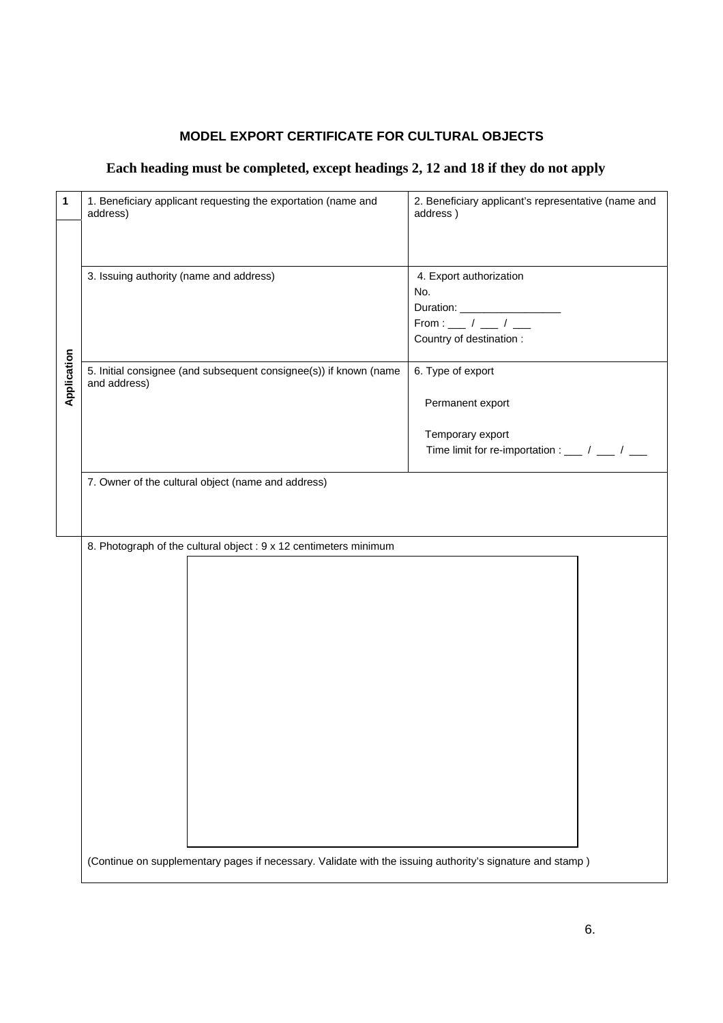| 1           | 1. Beneficiary applicant requesting the exportation (name and<br>address)                                 | 2. Beneficiary applicant's representative (name and<br>address)     |
|-------------|-----------------------------------------------------------------------------------------------------------|---------------------------------------------------------------------|
|             |                                                                                                           |                                                                     |
|             | 3. Issuing authority (name and address)                                                                   | 4. Export authorization<br>No.<br>Country of destination :          |
| Application | 5. Initial consignee (and subsequent consignee(s)) if known (name<br>and address)                         | 6. Type of export<br>Permanent export                               |
|             |                                                                                                           | Temporary export<br>Time limit for re-importation : ___ / ___ / ___ |
|             | 7. Owner of the cultural object (name and address)                                                        |                                                                     |
|             | 8. Photograph of the cultural object : 9 x 12 centimeters minimum                                         |                                                                     |
|             |                                                                                                           |                                                                     |
|             |                                                                                                           |                                                                     |
|             |                                                                                                           |                                                                     |
|             |                                                                                                           |                                                                     |
|             |                                                                                                           |                                                                     |
|             |                                                                                                           |                                                                     |
|             | (Continue on supplementary pages if necessary. Validate with the issuing authority's signature and stamp) |                                                                     |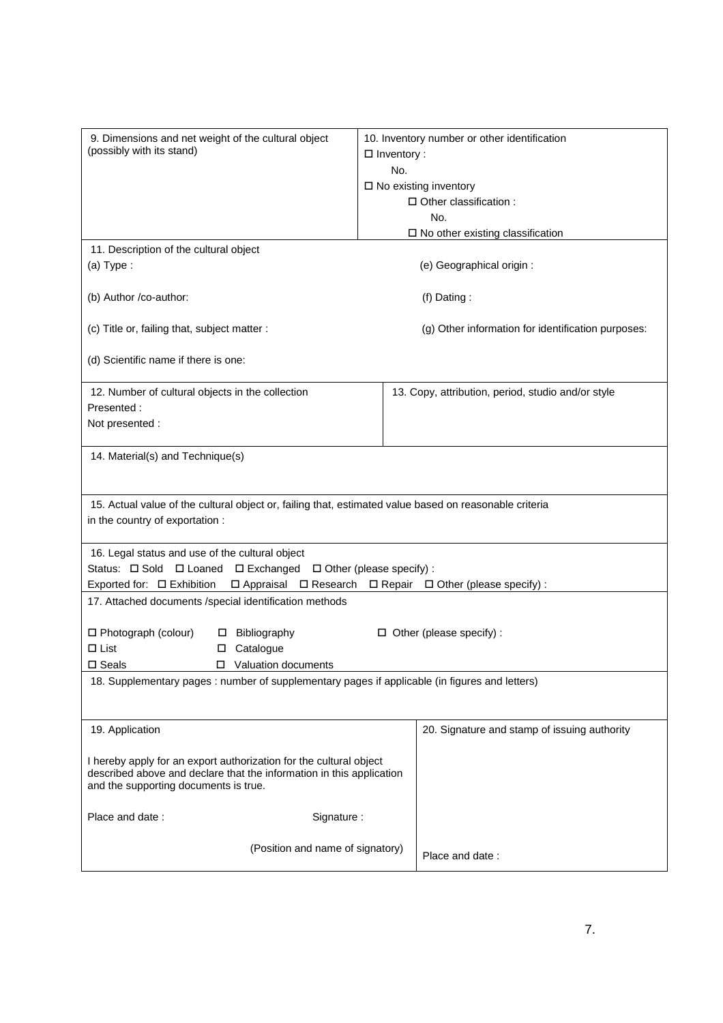| 9. Dimensions and net weight of the cultural object<br>(possibly with its stand)                                                                                                              | $\Box$ Inventory :<br>No.<br>$\square$ No existing inventory | 10. Inventory number or other identification<br>□ Other classification :<br>No.<br>$\square$ No other existing classification |
|-----------------------------------------------------------------------------------------------------------------------------------------------------------------------------------------------|--------------------------------------------------------------|-------------------------------------------------------------------------------------------------------------------------------|
| 11. Description of the cultural object                                                                                                                                                        |                                                              |                                                                                                                               |
| $(a)$ Type:                                                                                                                                                                                   |                                                              | (e) Geographical origin :                                                                                                     |
| (b) Author /co-author:                                                                                                                                                                        |                                                              | $(f)$ Dating:                                                                                                                 |
| (c) Title or, failing that, subject matter :                                                                                                                                                  |                                                              | (g) Other information for identification purposes:                                                                            |
| (d) Scientific name if there is one:                                                                                                                                                          |                                                              |                                                                                                                               |
| 12. Number of cultural objects in the collection<br>Presented:<br>Not presented :                                                                                                             |                                                              | 13. Copy, attribution, period, studio and/or style                                                                            |
| 14. Material(s) and Technique(s)                                                                                                                                                              |                                                              |                                                                                                                               |
| 15. Actual value of the cultural object or, failing that, estimated value based on reasonable criteria<br>in the country of exportation :                                                     |                                                              |                                                                                                                               |
| 16. Legal status and use of the cultural object<br>Status: $\Box$ Sold $\Box$ Loaned $\Box$ Exchanged $\Box$ Other (please specify) :<br>Exported for: □ Exhibition<br>□ Appraisal □ Research |                                                              | $\Box$ Repair $\Box$ Other (please specify) :                                                                                 |
| 17. Attached documents /special identification methods                                                                                                                                        |                                                              |                                                                                                                               |
| $\Box$ Photograph (colour)<br>Bibliography<br>П.<br>$\Box$ List<br>Catalogue<br>□<br>□ Valuation documents<br>$\square$ Seals                                                                 |                                                              | $\Box$ Other (please specify) :                                                                                               |
| 18. Supplementary pages : number of supplementary pages if applicable (in figures and letters)                                                                                                |                                                              |                                                                                                                               |
| 19. Application                                                                                                                                                                               |                                                              | 20. Signature and stamp of issuing authority                                                                                  |
| I hereby apply for an export authorization for the cultural object<br>described above and declare that the information in this application<br>and the supporting documents is true.           |                                                              |                                                                                                                               |
| Place and date:<br>Signature:                                                                                                                                                                 |                                                              |                                                                                                                               |
| (Position and name of signatory)                                                                                                                                                              |                                                              | Place and date:                                                                                                               |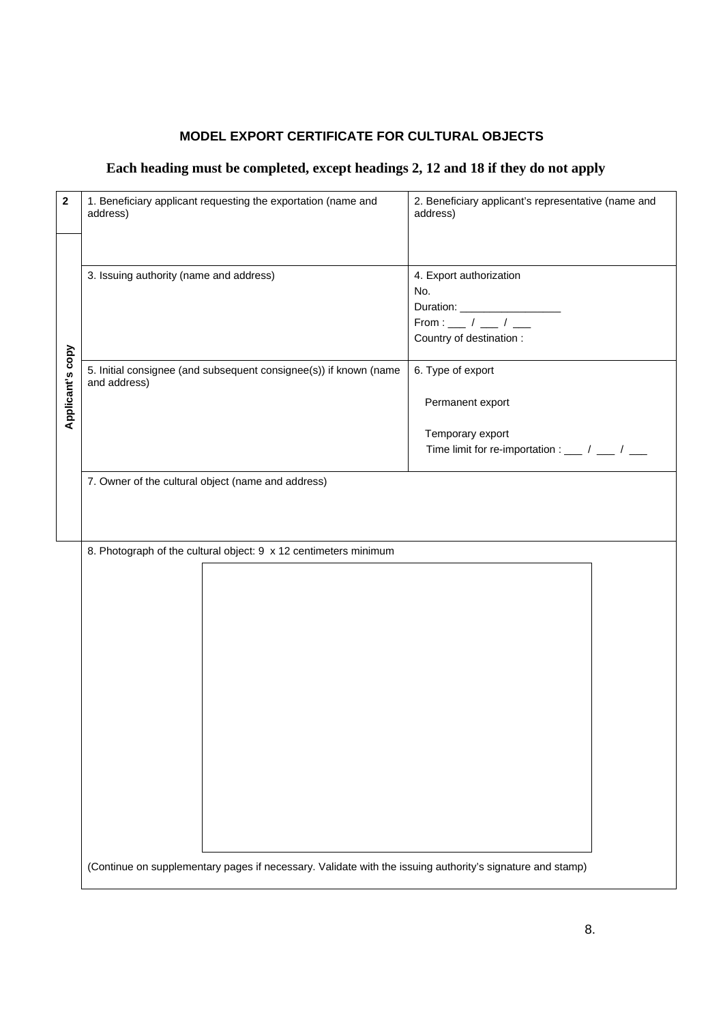| 2                | 1. Beneficiary applicant requesting the exportation (name and<br>address)                                 | 2. Beneficiary applicant's representative (name and<br>address)                   |
|------------------|-----------------------------------------------------------------------------------------------------------|-----------------------------------------------------------------------------------|
|                  |                                                                                                           |                                                                                   |
|                  | 3. Issuing authority (name and address)                                                                   | 4. Export authorization<br>No.<br>From : __ / __ / __<br>Country of destination : |
| Applicant's copy | 5. Initial consignee (and subsequent consignee(s)) if known (name<br>and address)                         | 6. Type of export<br>Permanent export                                             |
|                  |                                                                                                           | Temporary export<br>Time limit for re-importation : ___ / ___ / ___               |
|                  | 7. Owner of the cultural object (name and address)                                                        |                                                                                   |
|                  | 8. Photograph of the cultural object: 9 x 12 centimeters minimum                                          |                                                                                   |
|                  |                                                                                                           |                                                                                   |
|                  |                                                                                                           |                                                                                   |
|                  |                                                                                                           |                                                                                   |
|                  |                                                                                                           |                                                                                   |
|                  |                                                                                                           |                                                                                   |
|                  | (Continue on supplementary pages if necessary. Validate with the issuing authority's signature and stamp) |                                                                                   |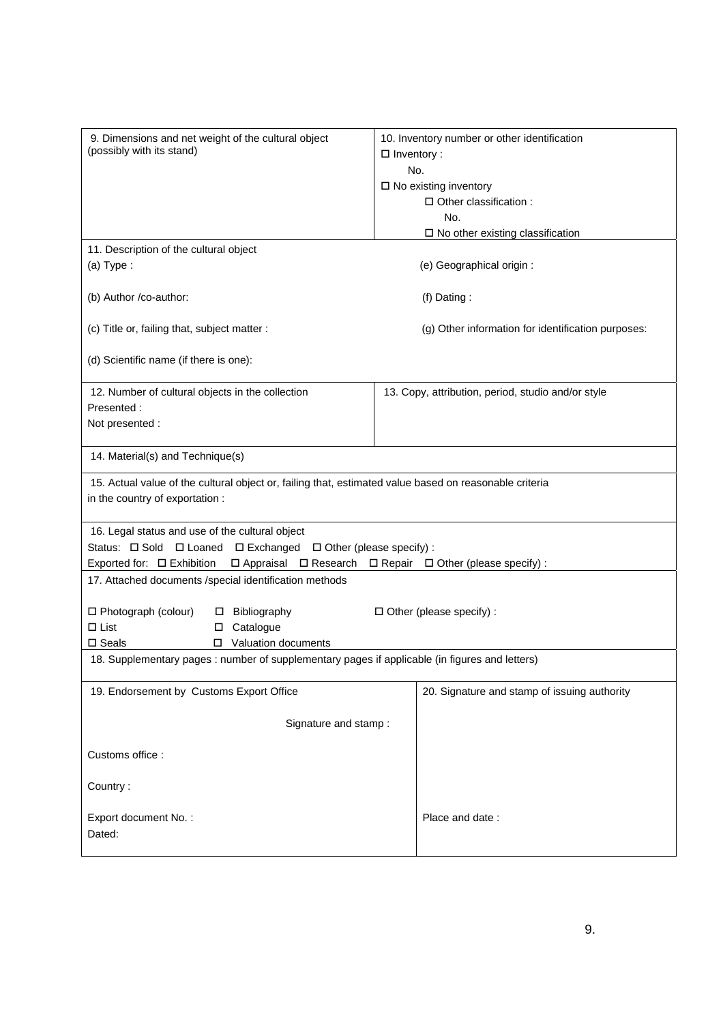| 9. Dimensions and net weight of the cultural object<br>(possibly with its stand)                       | 10. Inventory number or other identification<br>$\Box$ Inventory :             |
|--------------------------------------------------------------------------------------------------------|--------------------------------------------------------------------------------|
|                                                                                                        | No.                                                                            |
|                                                                                                        | $\square$ No existing inventory                                                |
|                                                                                                        | □ Other classification :                                                       |
|                                                                                                        | No.                                                                            |
|                                                                                                        | $\square$ No other existing classification                                     |
| 11. Description of the cultural object                                                                 |                                                                                |
| $(a)$ Type:                                                                                            | (e) Geographical origin :                                                      |
|                                                                                                        |                                                                                |
| (b) Author /co-author:                                                                                 | $(f)$ Dating:                                                                  |
|                                                                                                        |                                                                                |
| (c) Title or, failing that, subject matter :                                                           | (g) Other information for identification purposes:                             |
|                                                                                                        |                                                                                |
| (d) Scientific name (if there is one):                                                                 |                                                                                |
|                                                                                                        |                                                                                |
| 12. Number of cultural objects in the collection                                                       | 13. Copy, attribution, period, studio and/or style                             |
| Presented:                                                                                             |                                                                                |
| Not presented :                                                                                        |                                                                                |
|                                                                                                        |                                                                                |
| 14. Material(s) and Technique(s)                                                                       |                                                                                |
| 15. Actual value of the cultural object or, failing that, estimated value based on reasonable criteria |                                                                                |
| in the country of exportation :                                                                        |                                                                                |
|                                                                                                        |                                                                                |
| 16. Legal status and use of the cultural object                                                        |                                                                                |
| Status: $\Box$ Sold $\Box$ Loaned $\Box$ Exchanged $\Box$ Other (please specify) :                     |                                                                                |
| Exported for: □ Exhibition                                                                             | $\Box$ Appraisal $\Box$ Research $\Box$ Repair $\Box$ Other (please specify) : |
| 17. Attached documents /special identification methods                                                 |                                                                                |
|                                                                                                        |                                                                                |
| □ Photograph (colour)<br>□ Bibliography                                                                | $\Box$ Other (please specify) :                                                |
| $\Box$ List<br>Catalogue<br>$\Box$                                                                     |                                                                                |
| Valuation documents<br>$\square$ Seals<br>□                                                            |                                                                                |
| 18. Supplementary pages : number of supplementary pages if applicable (in figures and letters)         |                                                                                |
|                                                                                                        |                                                                                |
| 19. Endorsement by Customs Export Office                                                               | 20. Signature and stamp of issuing authority                                   |
|                                                                                                        |                                                                                |
| Signature and stamp:                                                                                   |                                                                                |
|                                                                                                        |                                                                                |
| Customs office:                                                                                        |                                                                                |
|                                                                                                        |                                                                                |
| Country:                                                                                               |                                                                                |
|                                                                                                        |                                                                                |
|                                                                                                        |                                                                                |
| Export document No.:<br>Dated:                                                                         | Place and date:                                                                |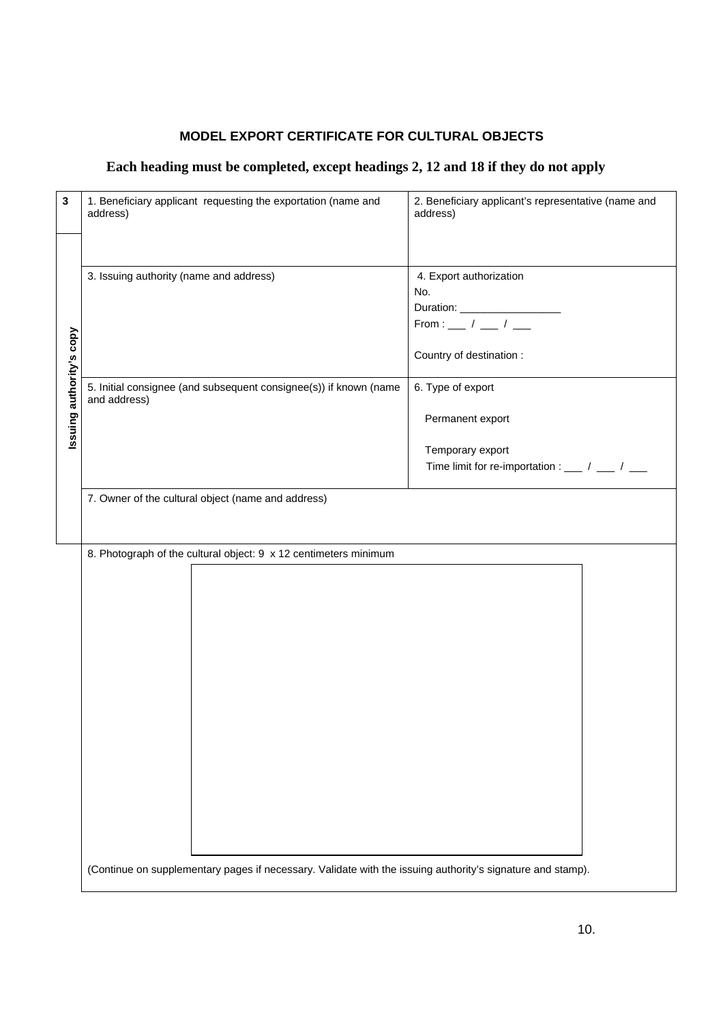| 3                        | 1. Beneficiary applicant requesting the exportation (name and<br>address)                                  | 2. Beneficiary applicant's representative (name and<br>address) |
|--------------------------|------------------------------------------------------------------------------------------------------------|-----------------------------------------------------------------|
|                          |                                                                                                            |                                                                 |
|                          | 3. Issuing authority (name and address)                                                                    | 4. Export authorization                                         |
|                          |                                                                                                            | No.                                                             |
|                          |                                                                                                            |                                                                 |
|                          |                                                                                                            | From : $\frac{1}{1}$ / $\frac{1}{1}$                            |
|                          |                                                                                                            |                                                                 |
| Issuing authority's copy |                                                                                                            | Country of destination :                                        |
|                          | 5. Initial consignee (and subsequent consignee(s)) if known (name<br>and address)                          | 6. Type of export                                               |
|                          |                                                                                                            | Permanent export                                                |
|                          |                                                                                                            | Temporary export                                                |
|                          |                                                                                                            | Time limit for re-importation : ___ / ___ / ___                 |
|                          |                                                                                                            |                                                                 |
|                          | 7. Owner of the cultural object (name and address)                                                         |                                                                 |
|                          |                                                                                                            |                                                                 |
|                          |                                                                                                            |                                                                 |
|                          |                                                                                                            |                                                                 |
|                          | 8. Photograph of the cultural object: 9 x 12 centimeters minimum                                           |                                                                 |
|                          |                                                                                                            |                                                                 |
|                          |                                                                                                            |                                                                 |
|                          |                                                                                                            |                                                                 |
|                          |                                                                                                            |                                                                 |
|                          |                                                                                                            |                                                                 |
|                          |                                                                                                            |                                                                 |
|                          |                                                                                                            |                                                                 |
|                          |                                                                                                            |                                                                 |
|                          |                                                                                                            |                                                                 |
|                          |                                                                                                            |                                                                 |
|                          |                                                                                                            |                                                                 |
|                          |                                                                                                            |                                                                 |
|                          |                                                                                                            |                                                                 |
|                          |                                                                                                            |                                                                 |
|                          |                                                                                                            |                                                                 |
|                          |                                                                                                            |                                                                 |
|                          |                                                                                                            |                                                                 |
|                          |                                                                                                            |                                                                 |
|                          |                                                                                                            |                                                                 |
|                          | (Continue on supplementary pages if necessary. Validate with the issuing authority's signature and stamp). |                                                                 |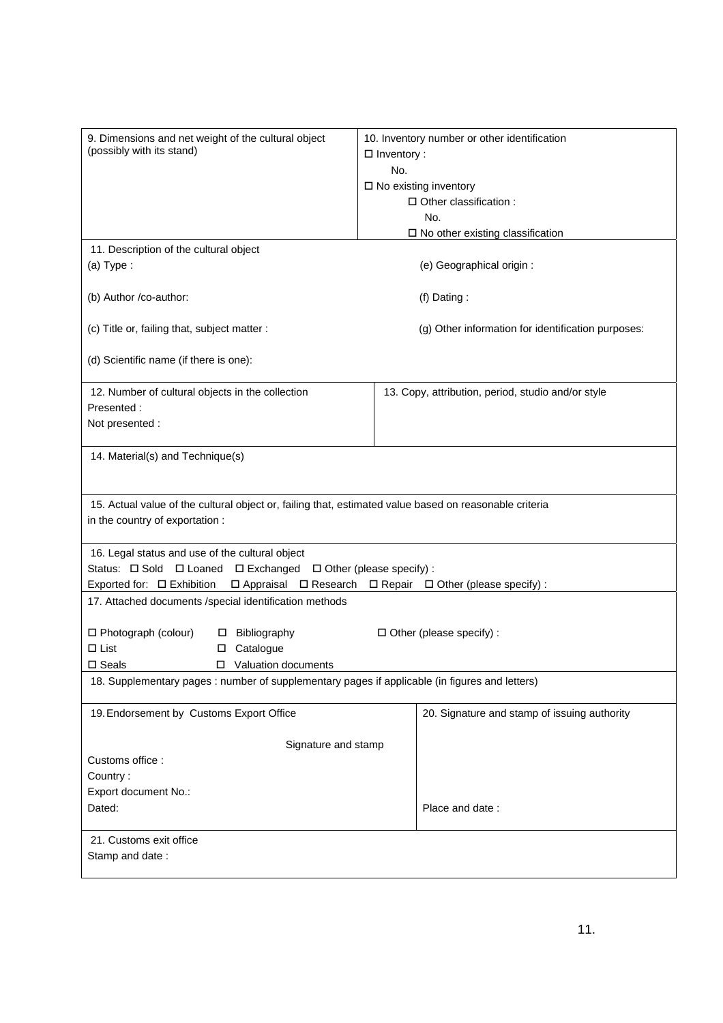| 9. Dimensions and net weight of the cultural object<br>(possibly with its stand)                       | 10. Inventory number or other identification<br>$\Box$ Inventory :             |
|--------------------------------------------------------------------------------------------------------|--------------------------------------------------------------------------------|
|                                                                                                        | No.                                                                            |
|                                                                                                        | $\square$ No existing inventory                                                |
|                                                                                                        | □ Other classification :                                                       |
|                                                                                                        | No.                                                                            |
|                                                                                                        | $\square$ No other existing classification                                     |
| 11. Description of the cultural object                                                                 |                                                                                |
| $(a)$ Type:                                                                                            | (e) Geographical origin :                                                      |
| (b) Author /co-author:                                                                                 | (f) Dating:                                                                    |
| (c) Title or, failing that, subject matter :                                                           | (g) Other information for identification purposes:                             |
| (d) Scientific name (if there is one):                                                                 |                                                                                |
| 12. Number of cultural objects in the collection                                                       | 13. Copy, attribution, period, studio and/or style                             |
| Presented:                                                                                             |                                                                                |
| Not presented :                                                                                        |                                                                                |
| 14. Material(s) and Technique(s)                                                                       |                                                                                |
|                                                                                                        |                                                                                |
|                                                                                                        |                                                                                |
| 15. Actual value of the cultural object or, failing that, estimated value based on reasonable criteria |                                                                                |
| in the country of exportation :                                                                        |                                                                                |
|                                                                                                        |                                                                                |
| 16. Legal status and use of the cultural object                                                        |                                                                                |
| Status: $\Box$ Sold $\Box$ Loaned $\Box$ Exchanged $\Box$ Other (please specify) :                     |                                                                                |
| Exported for: □ Exhibition                                                                             | $\Box$ Appraisal $\Box$ Research $\Box$ Repair $\Box$ Other (please specify) : |
| 17. Attached documents /special identification methods                                                 |                                                                                |
|                                                                                                        |                                                                                |
| □ Photograph (colour)<br>□ Bibliography                                                                | $\Box$ Other (please specify) :                                                |
| $\Box$ List<br>□ Catalogue                                                                             |                                                                                |
| □ Valuation documents<br>$\square$ Seals                                                               |                                                                                |
| 18. Supplementary pages : number of supplementary pages if applicable (in figures and letters)         |                                                                                |
| 19. Endorsement by Customs Export Office                                                               | 20. Signature and stamp of issuing authority                                   |
|                                                                                                        |                                                                                |
| Signature and stamp                                                                                    |                                                                                |
| Customs office:                                                                                        |                                                                                |
| Country:                                                                                               |                                                                                |
| Export document No.:                                                                                   |                                                                                |
| Dated:                                                                                                 | Place and date:                                                                |
|                                                                                                        |                                                                                |
| 21. Customs exit office                                                                                |                                                                                |
| Stamp and date:                                                                                        |                                                                                |
|                                                                                                        |                                                                                |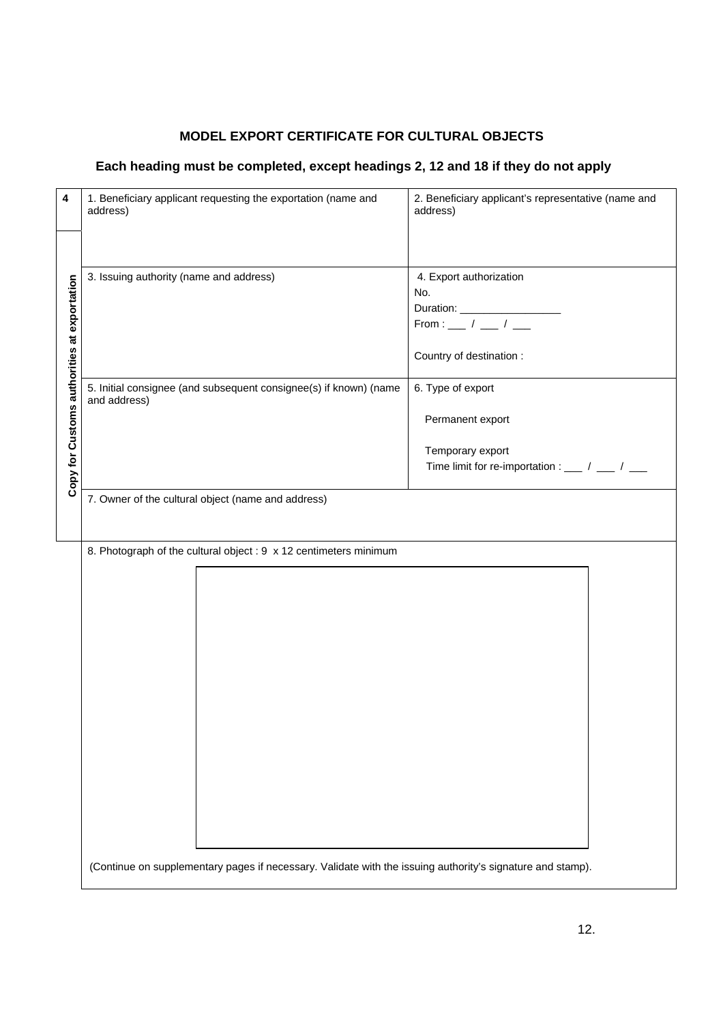| 4                                           | 1. Beneficiary applicant requesting the exportation (name and<br>address)                                  | 2. Beneficiary applicant's representative (name and<br>address) |
|---------------------------------------------|------------------------------------------------------------------------------------------------------------|-----------------------------------------------------------------|
|                                             |                                                                                                            |                                                                 |
|                                             | 3. Issuing authority (name and address)                                                                    | 4. Export authorization                                         |
|                                             |                                                                                                            | No.                                                             |
|                                             |                                                                                                            |                                                                 |
|                                             |                                                                                                            | From : __ / __ / __                                             |
| Copy for Customs authorities at exportation |                                                                                                            | Country of destination :                                        |
|                                             | 5. Initial consignee (and subsequent consignee(s) if known) (name<br>and address)                          | 6. Type of export                                               |
|                                             |                                                                                                            | Permanent export                                                |
|                                             |                                                                                                            | Temporary export                                                |
|                                             |                                                                                                            | Time limit for re-importation : ___ / ___ / ___                 |
|                                             |                                                                                                            |                                                                 |
|                                             | 7. Owner of the cultural object (name and address)                                                         |                                                                 |
|                                             |                                                                                                            |                                                                 |
|                                             | 8. Photograph of the cultural object : 9 x 12 centimeters minimum                                          |                                                                 |
|                                             |                                                                                                            |                                                                 |
|                                             |                                                                                                            |                                                                 |
|                                             |                                                                                                            |                                                                 |
|                                             |                                                                                                            |                                                                 |
|                                             |                                                                                                            |                                                                 |
|                                             |                                                                                                            |                                                                 |
|                                             |                                                                                                            |                                                                 |
|                                             |                                                                                                            |                                                                 |
|                                             |                                                                                                            |                                                                 |
|                                             |                                                                                                            |                                                                 |
|                                             |                                                                                                            |                                                                 |
|                                             |                                                                                                            |                                                                 |
|                                             |                                                                                                            |                                                                 |
|                                             |                                                                                                            |                                                                 |
|                                             |                                                                                                            |                                                                 |
|                                             |                                                                                                            |                                                                 |
|                                             |                                                                                                            |                                                                 |
|                                             | (Continue on supplementary pages if necessary. Validate with the issuing authority's signature and stamp). |                                                                 |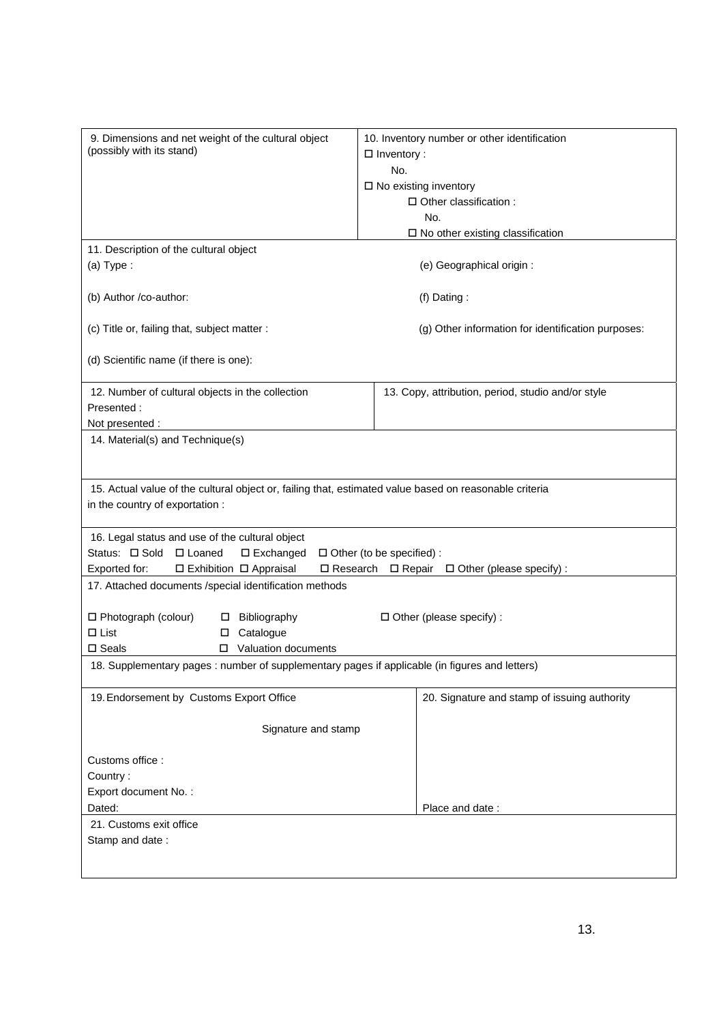| 9. Dimensions and net weight of the cultural object                                                    | 10. Inventory number or other identification                  |
|--------------------------------------------------------------------------------------------------------|---------------------------------------------------------------|
| (possibly with its stand)                                                                              | $\Box$ Inventory :                                            |
|                                                                                                        | No.                                                           |
|                                                                                                        | $\square$ No existing inventory                               |
|                                                                                                        | □ Other classification :                                      |
|                                                                                                        | No.                                                           |
|                                                                                                        | $\square$ No other existing classification                    |
| 11. Description of the cultural object                                                                 |                                                               |
| $(a)$ Type:                                                                                            | (e) Geographical origin :                                     |
| (b) Author /co-author:                                                                                 | (f) Dating:                                                   |
| (c) Title or, failing that, subject matter :                                                           | (g) Other information for identification purposes:            |
| (d) Scientific name (if there is one):                                                                 |                                                               |
| 12. Number of cultural objects in the collection                                                       | 13. Copy, attribution, period, studio and/or style            |
| Presented:                                                                                             |                                                               |
| Not presented :                                                                                        |                                                               |
| 14. Material(s) and Technique(s)                                                                       |                                                               |
|                                                                                                        |                                                               |
|                                                                                                        |                                                               |
| 15. Actual value of the cultural object or, failing that, estimated value based on reasonable criteria |                                                               |
| in the country of exportation :                                                                        |                                                               |
| 16. Legal status and use of the cultural object                                                        |                                                               |
| Status: □ Sold □ Loaned<br>$\Box$ Exchanged                                                            | $\Box$ Other (to be specified) :                              |
| □ Exhibition □ Appraisal<br>Exported for:                                                              | $\Box$ Research $\Box$ Repair $\Box$ Other (please specify) : |
| 17. Attached documents /special identification methods                                                 |                                                               |
|                                                                                                        |                                                               |
| □ Photograph (colour)<br>Bibliography<br>□                                                             | $\Box$ Other (please specify) :                               |
| $\Box$ List<br>Catalogue<br>0                                                                          |                                                               |
| □ Valuation documents<br>$\square$ Seals                                                               |                                                               |
| 18. Supplementary pages : number of supplementary pages if applicable (in figures and letters)         |                                                               |
|                                                                                                        |                                                               |
| 19. Endorsement by Customs Export Office                                                               | 20. Signature and stamp of issuing authority                  |
|                                                                                                        |                                                               |
| Signature and stamp                                                                                    |                                                               |
|                                                                                                        |                                                               |
| Customs office:                                                                                        |                                                               |
| Country:                                                                                               |                                                               |
| Export document No.:                                                                                   |                                                               |
| Dated:                                                                                                 | Place and date:                                               |
| 21. Customs exit office<br>Stamp and date:                                                             |                                                               |
|                                                                                                        |                                                               |
|                                                                                                        |                                                               |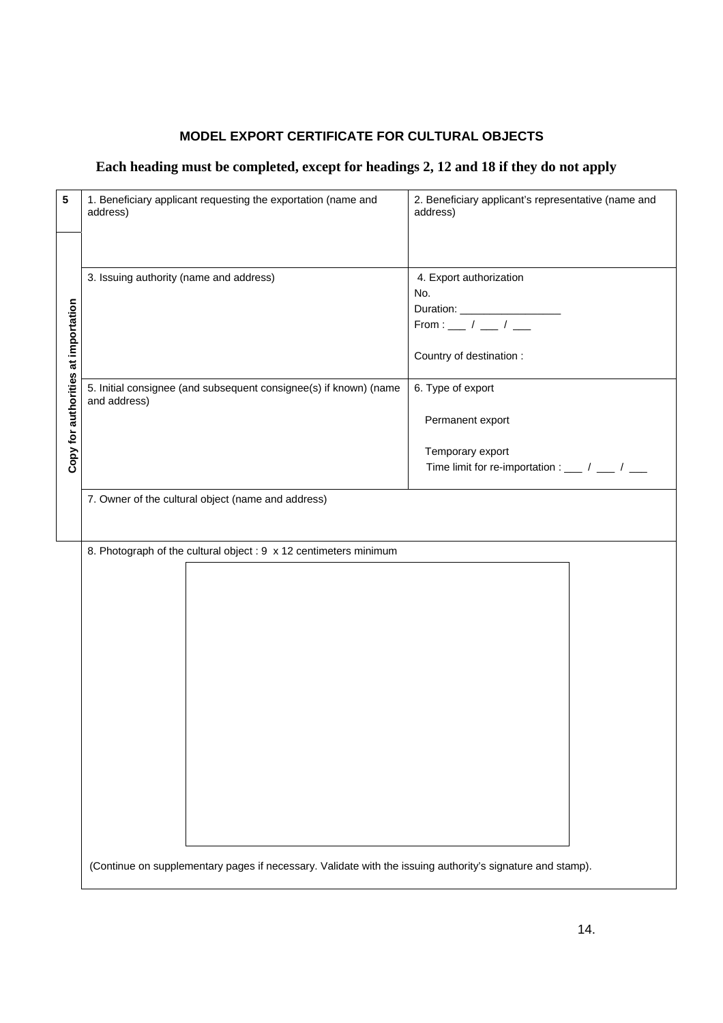| 5                                   | 1. Beneficiary applicant requesting the exportation (name and<br>address)                                  | 2. Beneficiary applicant's representative (name and<br>address)                       |
|-------------------------------------|------------------------------------------------------------------------------------------------------------|---------------------------------------------------------------------------------------|
|                                     |                                                                                                            |                                                                                       |
|                                     | 3. Issuing authority (name and address)                                                                    | 4. Export authorization                                                               |
|                                     |                                                                                                            | No.                                                                                   |
|                                     |                                                                                                            |                                                                                       |
|                                     |                                                                                                            |                                                                                       |
| Copy for authorities at importation |                                                                                                            | Country of destination :                                                              |
|                                     | 5. Initial consignee (and subsequent consignee(s) if known) (name<br>and address)                          | 6. Type of export                                                                     |
|                                     |                                                                                                            | Permanent export                                                                      |
|                                     |                                                                                                            | Temporary export                                                                      |
|                                     |                                                                                                            | Time limit for re-importation : $\frac{1}{1-\frac{1}{2}}$ / $\frac{1}{1-\frac{1}{2}}$ |
|                                     |                                                                                                            |                                                                                       |
|                                     | 7. Owner of the cultural object (name and address)                                                         |                                                                                       |
|                                     |                                                                                                            |                                                                                       |
|                                     |                                                                                                            |                                                                                       |
|                                     | 8. Photograph of the cultural object : 9 x 12 centimeters minimum                                          |                                                                                       |
|                                     |                                                                                                            |                                                                                       |
|                                     |                                                                                                            |                                                                                       |
|                                     |                                                                                                            |                                                                                       |
|                                     |                                                                                                            |                                                                                       |
|                                     |                                                                                                            |                                                                                       |
|                                     |                                                                                                            |                                                                                       |
|                                     |                                                                                                            |                                                                                       |
|                                     |                                                                                                            |                                                                                       |
|                                     |                                                                                                            |                                                                                       |
|                                     |                                                                                                            |                                                                                       |
|                                     |                                                                                                            |                                                                                       |
|                                     |                                                                                                            |                                                                                       |
|                                     |                                                                                                            |                                                                                       |
|                                     |                                                                                                            |                                                                                       |
|                                     |                                                                                                            |                                                                                       |
|                                     |                                                                                                            |                                                                                       |
|                                     | (Continue on supplementary pages if necessary. Validate with the issuing authority's signature and stamp). |                                                                                       |